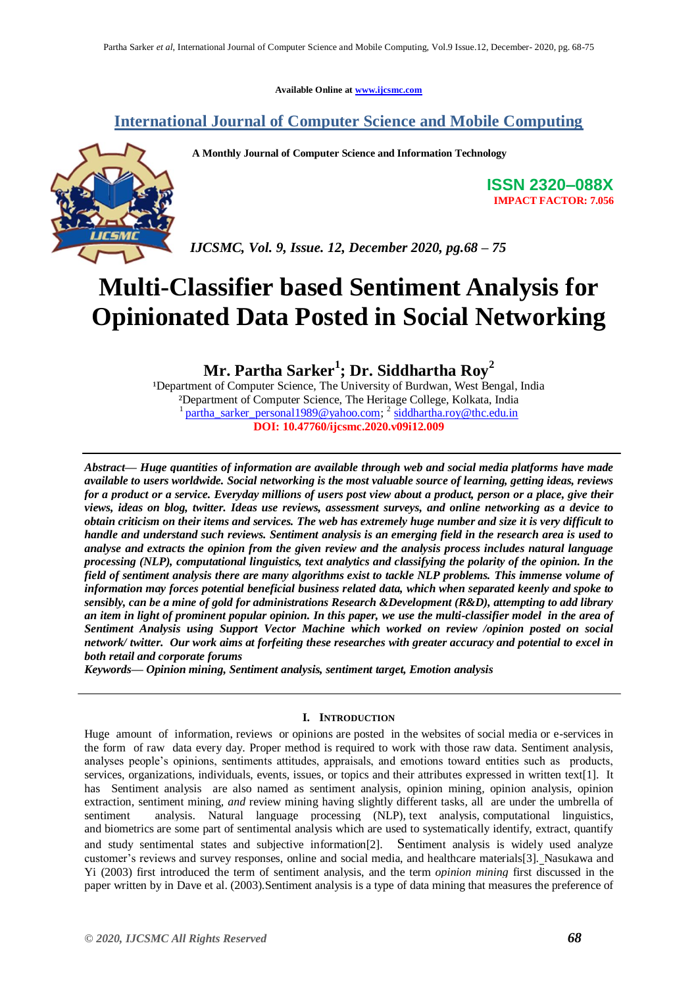**Available Online at [www.ijcsmc.com](http://www.ijcsmc.com/)**

# **International Journal of Computer Science and Mobile Computing**

**A Monthly Journal of Computer Science and Information Technology**



**ISSN 2320–088X IMPACT FACTOR: 7.056**

*IJCSMC, Vol. 9, Issue. 12, December 2020, pg.68 – 75*

# **Multi-Classifier based Sentiment Analysis for Opinionated Data Posted in Social Networking**

**Mr. Partha Sarker<sup>1</sup> ; Dr. Siddhartha Roy<sup>2</sup>**

<sup>1</sup>Department of Computer Science, The University of Burdwan, West Bengal, India ²Department of Computer Science, The Heritage College, Kolkata, India 1 [partha\\_sarker\\_personal1989@yahoo.com;](mailto:partha_sarker_personal1989@yahoo.com) <sup>2</sup> [siddhartha.roy@thc.edu.in](mailto:siddhartha.roy@thc.edu.in) **DOI: 10.47760/ijcsmc.2020.v09i12.009**

*Abstract— Huge quantities of information are available through web and social media platforms have made available to users worldwide. Social networking is the most valuable source of learning, getting ideas, reviews for a product or a service. Everyday millions of users post view about a product, person or a place, give their views, ideas on blog, twitter. Ideas use reviews, assessment surveys, and online networking as a device to obtain criticism on their items and services. The web has extremely huge number and size it is very difficult to handle and understand such reviews. Sentiment analysis is an emerging field in the research area is used to analyse and extracts the opinion from the given review and the analysis process includes natural language processing (NLP), computational linguistics, text analytics and classifying the polarity of the opinion. In the field of sentiment analysis there are many algorithms exist to tackle NLP problems. This immense volume of information may forces potential beneficial business related data, which when separated keenly and spoke to sensibly, can be a mine of gold for administrations Research &Development (R&D), attempting to add library an item in light of prominent popular opinion. In this paper, we use the multi-classifier model in the area of Sentiment Analysis using Support Vector Machine which worked on review /opinion posted on social network/ twitter. Our work aims at forfeiting these researches with greater accuracy and potential to excel in both retail and corporate forums*

*Keywords— Opinion mining, Sentiment analysis, sentiment target, Emotion analysis*

# **I. INTRODUCTION**

Huge amount of information, reviews or opinions are posted in the websites of social media or e-services in the form of raw data every day. Proper method is required to work with those raw data. Sentiment analysis, analyses people"s opinions, sentiments attitudes, appraisals, and emotions toward entities such as products, services, organizations, individuals, events, issues, or topics and their attributes expressed in written text[1]. It has Sentiment analysis are also named as sentiment analysis*,* opinion mining*,* opinion analysis*,* opinion extraction*,* sentiment mining*, and* review mining having slightly different tasks*,* all are under the umbrella of sentiment analysis. Natural language processing (NLP), text analysis, computational linguistics, and biometrics are some part of sentimental analysis which are used to systematically identify, extract, quantify and study sentimental states and subjective information[2]. Sentiment analysis is widely used analyze customer"s reviews and survey responses, online and social media, and healthcare materials[3]. Nasukawa and Yi (2003) first introduced the term of sentiment analysis, and the term *opinion mining* first discussed in the paper written by in Dave et al. (2003).Sentiment analysis is a type of data mining that measures the preference of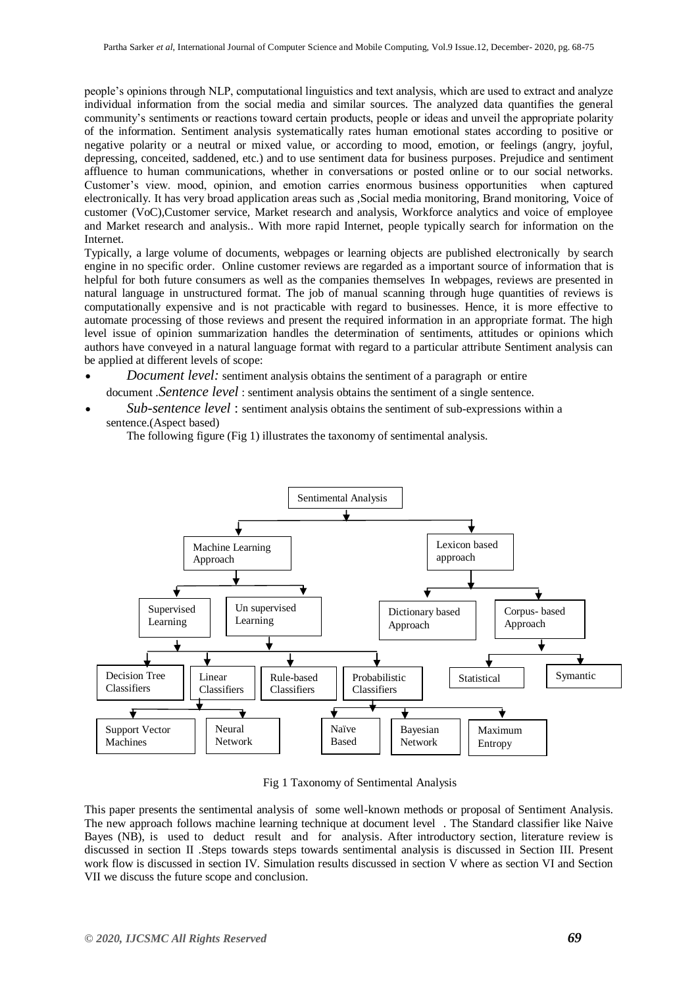people"s opinions through NLP, computational linguistics and text analysis, which are used to extract and analyze individual information from the social media and similar sources. The analyzed data quantifies the general community"s sentiments or reactions toward certain products, people or ideas and unveil the appropriate polarity of the information. Sentiment analysis systematically rates human emotional states according to positive or negative polarity or a neutral or mixed value, or according to mood, emotion, or feelings (angry, joyful, depressing, conceited, saddened, etc.) and to use sentiment data for business purposes. Prejudice and sentiment affluence to human communications, whether in conversations or posted online or to our social networks. Customer"s view. mood, opinion, and emotion carries enormous business opportunities when captured electronically. It has very broad application areas such as ,Social media monitoring, Brand monitoring, Voice of customer (VoC),Customer service, Market research and analysis, Workforce analytics and voice of employee and Market research and analysis.. With more rapid Internet, people typically search for information on the Internet.

Typically, a large volume of documents, webpages or learning objects are published electronically by search engine in no specific order. Online customer reviews are regarded as a important source of information that is helpful for both future consumers as well as the companies themselves In webpages, reviews are presented in natural language in unstructured format. The job of manual scanning through huge quantities of reviews is computationally expensive and is not practicable with regard to businesses. Hence, it is more effective to automate processing of those reviews and present the required information in an appropriate format. The high level issue of opinion summarization handles the determination of sentiments, attitudes or opinions which authors have conveyed in a natural language format with regard to a particular attribute Sentiment analysis can be applied at different levels of scope:

- *Document level:* sentiment analysis obtains the sentiment of a paragraph or entire document .*Sentence level* : sentiment analysis obtains the sentiment of a single sentence.
- *Sub-sentence level* : sentiment analysis obtains the sentiment of sub-expressions within a sentence.(Aspect based)

The following figure (Fig 1) illustrates the taxonomy of sentimental analysis.



Fig 1 Taxonomy of Sentimental Analysis

This paper presents the sentimental analysis of some well-known methods or proposal of Sentiment Analysis. The new approach follows machine learning technique at document level . The Standard classifier like Naive Bayes (NB), is used to deduct result and for analysis. After introductory section, literature review is discussed in section II .Steps towards steps towards sentimental analysis is discussed in Section III. Present work flow is discussed in section IV. Simulation results discussed in section V where as section VI and Section VII we discuss the future scope and conclusion.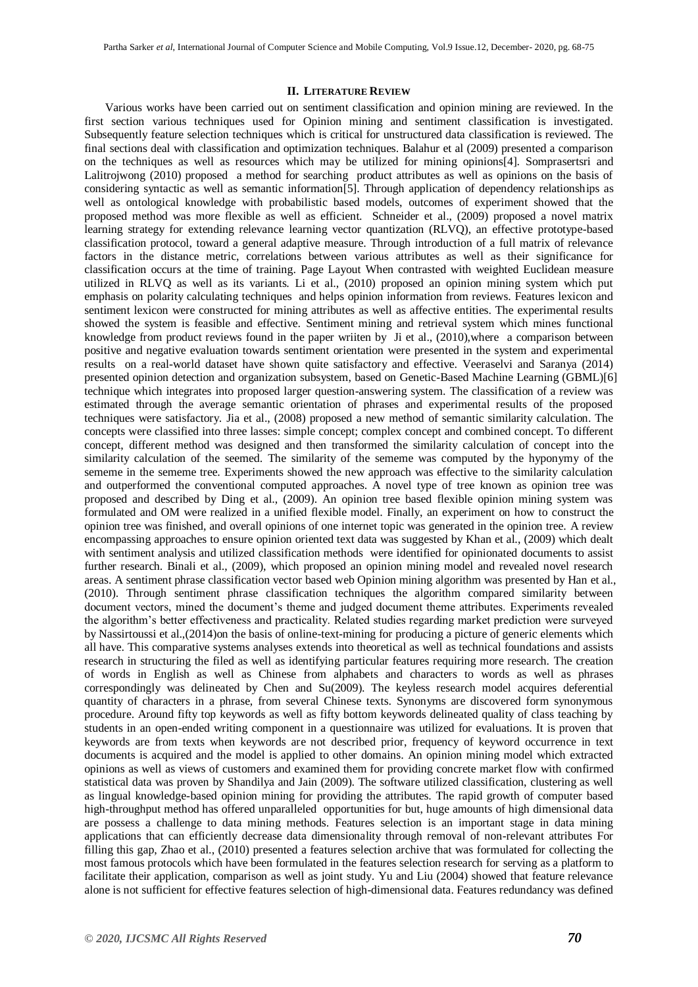#### **II. LITERATURE REVIEW**

 Various works have been carried out on sentiment classification and opinion mining are reviewed. In the first section various techniques used for Opinion mining and sentiment classification is investigated. Subsequently feature selection techniques which is critical for unstructured data classification is reviewed. The final sections deal with classification and optimization techniques. Balahur et al (2009) presented a comparison on the techniques as well as resources which may be utilized for mining opinions[4]. Somprasertsri and Lalitrojwong (2010) proposed a method for searching product attributes as well as opinions on the basis of considering syntactic as well as semantic information[5]. Through application of dependency relationships as well as ontological knowledge with probabilistic based models, outcomes of experiment showed that the proposed method was more flexible as well as efficient. Schneider et al., (2009) proposed a novel matrix learning strategy for extending relevance learning vector quantization (RLVQ), an effective prototype-based classification protocol, toward a general adaptive measure. Through introduction of a full matrix of relevance factors in the distance metric, correlations between various attributes as well as their significance for classification occurs at the time of training. Page Layout When contrasted with weighted Euclidean measure utilized in RLVQ as well as its variants. Li et al., (2010) proposed an opinion mining system which put emphasis on polarity calculating techniques and helps opinion information from reviews. Features lexicon and sentiment lexicon were constructed for mining attributes as well as affective entities. The experimental results showed the system is feasible and effective. Sentiment mining and retrieval system which mines functional knowledge from product reviews found in the paper wriiten by Ji et al., (2010),where a comparison between positive and negative evaluation towards sentiment orientation were presented in the system and experimental results on a real-world dataset have shown quite satisfactory and effective. Veeraselvi and Saranya (2014) presented opinion detection and organization subsystem, based on Genetic-Based Machine Learning (GBML)[6] technique which integrates into proposed larger question-answering system. The classification of a review was estimated through the average semantic orientation of phrases and experimental results of the proposed techniques were satisfactory. Jia et al., (2008) proposed a new method of semantic similarity calculation. The concepts were classified into three lasses: simple concept; complex concept and combined concept. To different concept, different method was designed and then transformed the similarity calculation of concept into the similarity calculation of the seemed. The similarity of the sememe was computed by the hyponymy of the sememe in the sememe tree. Experiments showed the new approach was effective to the similarity calculation and outperformed the conventional computed approaches. A novel type of tree known as opinion tree was proposed and described by Ding et al., (2009). An opinion tree based flexible opinion mining system was formulated and OM were realized in a unified flexible model. Finally, an experiment on how to construct the opinion tree was finished, and overall opinions of one internet topic was generated in the opinion tree. A review encompassing approaches to ensure opinion oriented text data was suggested by Khan et al., (2009) which dealt with sentiment analysis and utilized classification methods were identified for opinionated documents to assist further research. Binali et al., (2009), which proposed an opinion mining model and revealed novel research areas. A sentiment phrase classification vector based web Opinion mining algorithm was presented by Han et al., (2010). Through sentiment phrase classification techniques the algorithm compared similarity between document vectors, mined the document's theme and judged document theme attributes. Experiments revealed the algorithm"s better effectiveness and practicality. Related studies regarding market prediction were surveyed by Nassirtoussi et al.,(2014)on the basis of online-text-mining for producing a picture of generic elements which all have. This comparative systems analyses extends into theoretical as well as technical foundations and assists research in structuring the filed as well as identifying particular features requiring more research. The creation of words in English as well as Chinese from alphabets and characters to words as well as phrases correspondingly was delineated by Chen and Su(2009). The keyless research model acquires deferential quantity of characters in a phrase, from several Chinese texts. Synonyms are discovered form synonymous procedure. Around fifty top keywords as well as fifty bottom keywords delineated quality of class teaching by students in an open-ended writing component in a questionnaire was utilized for evaluations. It is proven that keywords are from texts when keywords are not described prior, frequency of keyword occurrence in text documents is acquired and the model is applied to other domains. An opinion mining model which extracted opinions as well as views of customers and examined them for providing concrete market flow with confirmed statistical data was proven by Shandilya and Jain (2009). The software utilized classification, clustering as well as lingual knowledge-based opinion mining for providing the attributes. The rapid growth of computer based high-throughput method has offered unparalleled opportunities for but, huge amounts of high dimensional data are possess a challenge to data mining methods. Features selection is an important stage in data mining applications that can efficiently decrease data dimensionality through removal of non-relevant attributes For filling this gap, Zhao et al., (2010) presented a features selection archive that was formulated for collecting the most famous protocols which have been formulated in the features selection research for serving as a platform to facilitate their application, comparison as well as joint study. Yu and Liu (2004) showed that feature relevance alone is not sufficient for effective features selection of high-dimensional data. Features redundancy was defined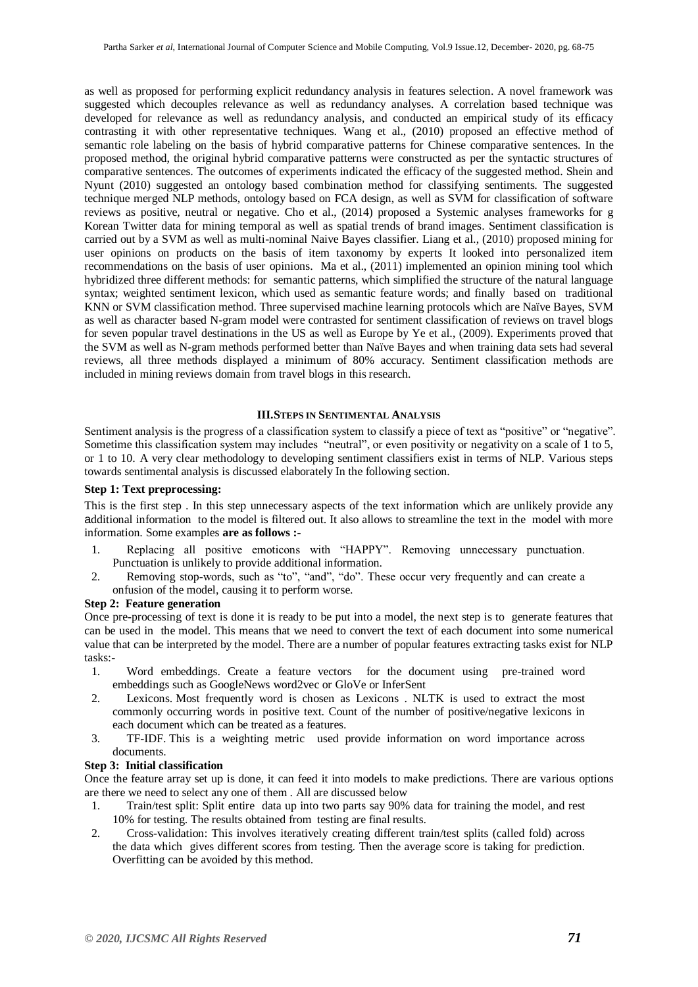as well as proposed for performing explicit redundancy analysis in features selection. A novel framework was suggested which decouples relevance as well as redundancy analyses. A correlation based technique was developed for relevance as well as redundancy analysis, and conducted an empirical study of its efficacy contrasting it with other representative techniques. Wang et al., (2010) proposed an effective method of semantic role labeling on the basis of hybrid comparative patterns for Chinese comparative sentences. In the proposed method, the original hybrid comparative patterns were constructed as per the syntactic structures of comparative sentences. The outcomes of experiments indicated the efficacy of the suggested method. Shein and Nyunt (2010) suggested an ontology based combination method for classifying sentiments. The suggested technique merged NLP methods, ontology based on FCA design, as well as SVM for classification of software reviews as positive, neutral or negative. Cho et al., (2014) proposed a Systemic analyses frameworks for g Korean Twitter data for mining temporal as well as spatial trends of brand images. Sentiment classification is carried out by a SVM as well as multi-nominal Naive Bayes classifier. Liang et al., (2010) proposed mining for user opinions on products on the basis of item taxonomy by experts It looked into personalized item recommendations on the basis of user opinions. Ma et al., (2011) implemented an opinion mining tool which hybridized three different methods: for semantic patterns, which simplified the structure of the natural language syntax; weighted sentiment lexicon, which used as semantic feature words; and finally based on traditional KNN or SVM classification method. Three supervised machine learning protocols which are Naïve Bayes, SVM as well as character based N-gram model were contrasted for sentiment classification of reviews on travel blogs for seven popular travel destinations in the US as well as Europe by Ye et al., (2009). Experiments proved that the SVM as well as N-gram methods performed better than Naïve Bayes and when training data sets had several reviews, all three methods displayed a minimum of 80% accuracy. Sentiment classification methods are included in mining reviews domain from travel blogs in this research.

# **III.STEPS IN SENTIMENTAL ANALYSIS**

Sentiment analysis is the progress of a classification system to classify a piece of text as "positive" or "negative". Sometime this classification system may includes "neutral", or even positivity or negativity on a scale of 1 to 5, or 1 to 10. A very clear methodology to developing sentiment classifiers exist in terms of NLP. Various steps towards sentimental analysis is discussed elaborately In the following section.

# **Step 1: Text preprocessing:**

This is the first step . In this step unnecessary aspects of the text information which are unlikely provide any additional information to the model is filtered out. It also allows to streamline the text in the model with more information. Some examples **are as follows :-**

- 1. Replacing all positive emoticons with "HAPPY". Removing unnecessary punctuation. Punctuation is unlikely to provide additional information.
- 2. Removing stop-words, such as "to", "and", "do". These occur very frequently and can create a onfusion of the model, causing it to perform worse.

#### **Step 2: Feature generation**

Once pre-processing of text is done it is ready to be put into a model, the next step is to generate features that can be used in the model. This means that we need to convert the text of each document into some numerical value that can be interpreted by the model. There are a number of popular features extracting tasks exist for NLP tasks:-

- 1. Word embeddings. Create a feature vectors for the document using pre-trained word embeddings such as GoogleNews word2vec or GloVe or InferSent
- 2. Lexicons. Most frequently word is chosen as Lexicons . NLTK is used to extract the most commonly occurring words in positive text. Count of the number of positive/negative lexicons in each document which can be treated as a features.
- 3. TF-IDF. This is a weighting metric used provide information on word importance across documents.

## **Step 3: Initial classification**

Once the feature array set up is done, it can feed it into models to make predictions. There are various options are there we need to select any one of them . All are discussed below

- 1. Train/test split: Split entire data up into two parts say 90% data for training the model, and rest 10% for testing. The results obtained from testing are final results.
- 2. Cross-validation: This involves iteratively creating different train/test splits (called fold) across the data which gives different scores from testing. Then the average score is taking for prediction. Overfitting can be avoided by this method.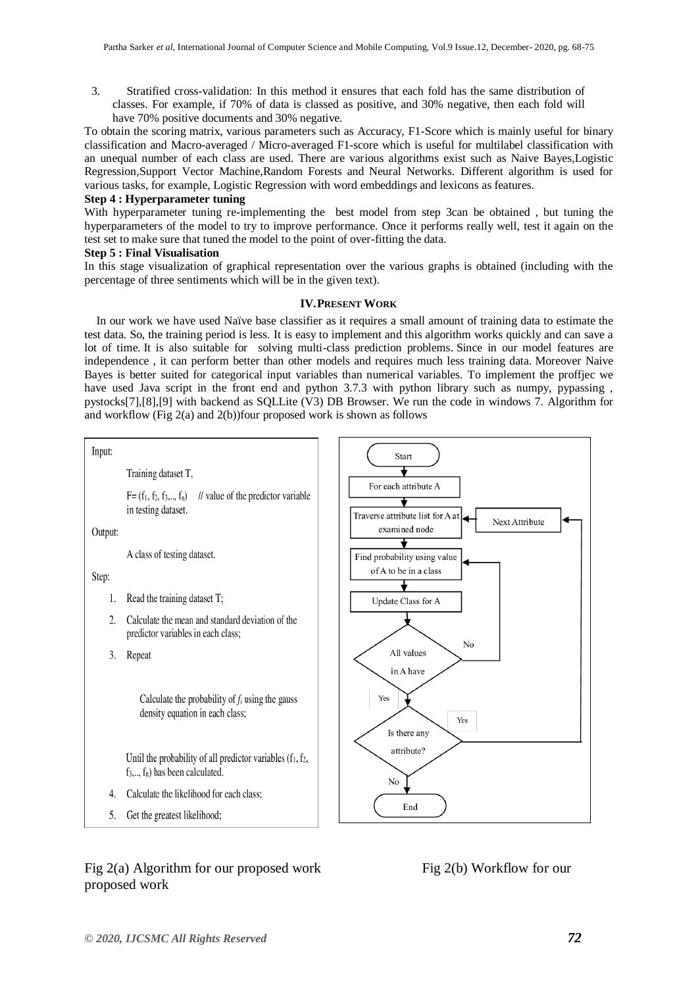3. Stratified cross-validation: In this method it ensures that each fold has the same distribution of classes. For example, if 70% of data is classed as positive, and 30% negative, then each fold will have 70% positive documents and 30% negative.

To obtain the scoring matrix, various parameters such as Accuracy, F1-Score which is mainly useful for binary classification and Macro-averaged / Micro-averaged F1-score which is useful for multilabel classification with an unequal number of each class are used. There are various algorithms exist such as Naive Bayes,Logistic Regression,Support Vector Machine,Random Forests and Neural Networks. Different algorithm is used for various tasks, for example, Logistic Regression with word embeddings and lexicons as features.

# **Step 4 : Hyperparameter tuning**

With hyperparameter tuning re-implementing the best model from step 3can be obtained , but tuning the hyperparameters of the model to try to improve performance. Once it performs really well, test it again on the test set to make sure that tuned the model to the point of over-fitting the data.

# **Step 5 : Final Visualisation**

In this stage visualization of graphical representation over the various graphs is obtained (including with the percentage of three sentiments which will be in the given text).

# **IV.PRESENT WORK**

 In our work we have used Naïve base classifier as it requires a small amount of training data to estimate the test data. So, the training period is less. It is easy to implement and this algorithm works quickly and can save a lot of time. It is also suitable for solving multi-class prediction problems. Since in our model features are independence , it can perform better than other models and requires much less training data. Moreover Naive Bayes is better suited for categorical input variables than numerical variables. To implement the proffjec we have used Java script in the front end and python 3.7.3 with python library such as numpy, pypassing, pystocks[7],[8],[9] with backend as SQLLite (V3) DB Browser. We run the code in windows 7. Algorithm for and workflow (Fig 2(a) and 2(b))four proposed work is shown as follows



Fig 2(a) Algorithm for our proposed work Fig 2(b) Workflow for our proposed work

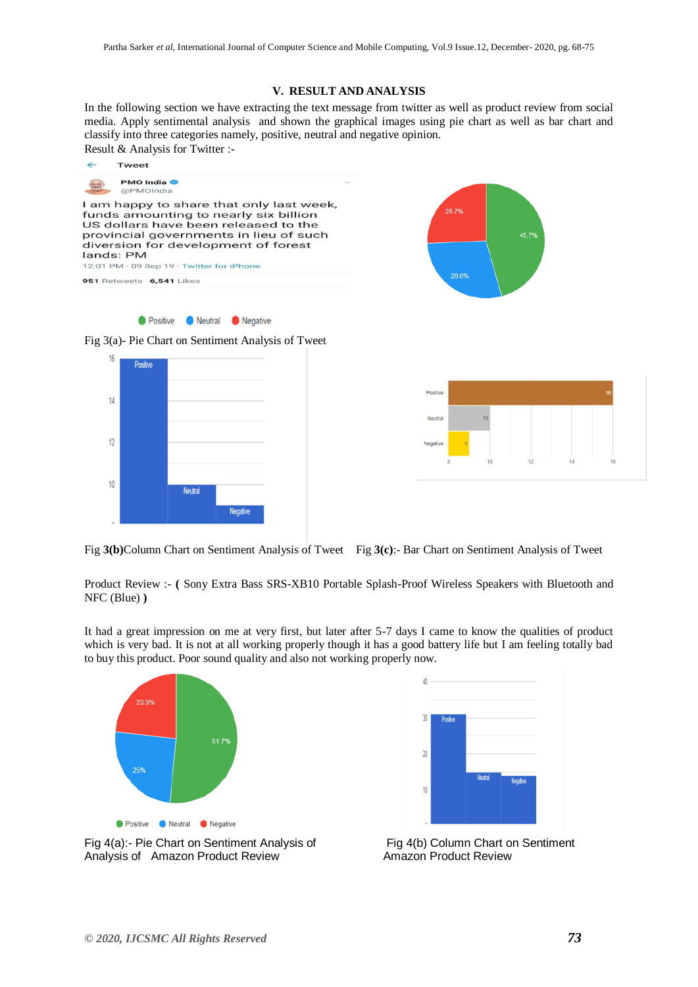# **V. RESULT AND ANALYSIS**

In the following section we have extracting the text message from twitter as well as product review from social media. Apply sentimental analysis and shown the graphical images using pie chart as well as bar chart and classify into three categories namely, positive, neutral and negative opinion. Result & Analysis for Twitter :-

 $\leftarrow$ Tweet **PMO** India  $\leftarrow$ @PMOIndia I am happy to share that only last week,  $25.79$ funds amounting to nearly six billion US dollars have been released to the provincial governments in lieu of such 45.7 diversion for development of forest lands: PM 12:01 PM · 09 Sep 19 · Twitter for iPhone 28.6% 951 Retweets 6,541 Likes ● Positive ● Neutral ● Negative Fig 3(a)- Pie Chart on Sentiment Analysis of Tweet  $16$ **Positive** Positiv  $14$  $12$ Negativ  $10$ **Neutral Jegative** 

Fig **3(b)**Column Chart on Sentiment Analysis of Tweet Fig **3(c)**:- Bar Chart on Sentiment Analysis of Tweet

Product Review :- **(** [Sony Extra Bass SRS-XB10 Portable Splash-Proof Wireless Speakers with Bluetooth and](https://www.amazon.in/Sony-SRS-XB10-Portable-Splash-Proof-Bluetooth/dp/B07F9SJ27J/ref=cm_cr_arp_d_product_top?ie=UTF8)  [NFC \(Blue\)](https://www.amazon.in/Sony-SRS-XB10-Portable-Splash-Proof-Bluetooth/dp/B07F9SJ27J/ref=cm_cr_arp_d_product_top?ie=UTF8) **)**

It had a great impression on me at very first, but later after 5-7 days I came to know the qualities of product which is very bad. It is not at all working properly though it has a good battery life but I am feeling totally bad to buy this product. Poor sound quality and also not working properly now.





Fig 4(a):- Pie Chart on Sentiment Analysis of Fig 4(b) Column Chart on Sentiment Analysis of Amazon Product Review **Amazon Product Review**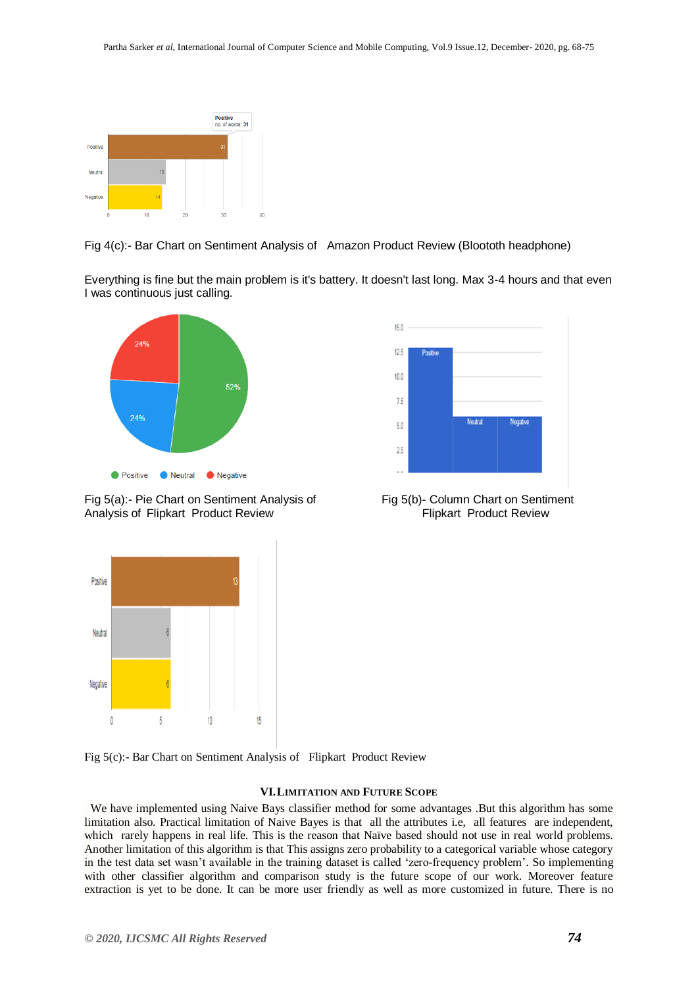

Fig 4(c):- Bar Chart on Sentiment Analysis of Amazon Product Review (Bloototh headphone)

Everything is fine but the main problem is it's battery. It doesn't last long. Max 3-4 hours and that even I was continuous just calling*.*



Fig 5(a):- Pie Chart on Sentiment Analysis of Fig 5(b)- Column Chart on Sentiment Analysis of Flipkart Product Review Flipkart Product Review





Fig 5(c):- Bar Chart on Sentiment Analysis of Flipkart Product Review

## **VI.LIMITATION AND FUTURE SCOPE**

 We have implemented using Naive Bays classifier method for some advantages .But this algorithm has some limitation also. Practical limitation of Naive Bayes is that all the attributes i.e, all features are independent, which rarely happens in real life. This is the reason that Naïve based should not use in real world problems. Another limitation of this algorithm is that This assigns zero probability to a categorical variable whose category in the test data set wasn"t available in the training dataset is called "zero-frequency problem". So implementing with other classifier algorithm and comparison study is the future scope of our work. Moreover feature extraction is yet to be done. It can be more user friendly as well as more customized in future. There is no